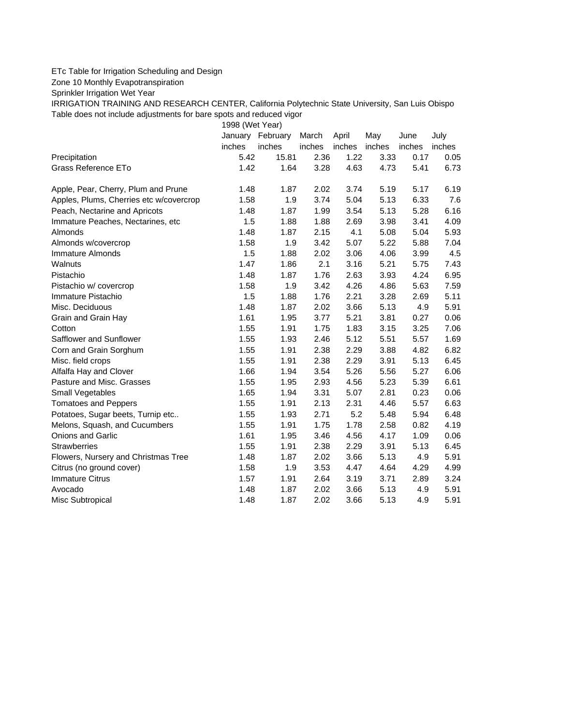## ETc Table for Irrigation Scheduling and Design

Zone 10 Monthly Evapotranspiration

Sprinkler Irrigation Wet Year

IRRIGATION TRAINING AND RESEARCH CENTER, California Polytechnic State University, San Luis Obispo Table does not include adjustments for bare spots and reduced vigor

1998 (Wet Year)

|                                         |        | January February | March  | April  | May    | June   | July   |
|-----------------------------------------|--------|------------------|--------|--------|--------|--------|--------|
|                                         | inches | inches           | inches | inches | inches | inches | inches |
| Precipitation                           | 5.42   | 15.81            | 2.36   | 1.22   | 3.33   | 0.17   | 0.05   |
| Grass Reference ETo                     | 1.42   | 1.64             | 3.28   | 4.63   | 4.73   | 5.41   | 6.73   |
| Apple, Pear, Cherry, Plum and Prune     | 1.48   | 1.87             | 2.02   | 3.74   | 5.19   | 5.17   | 6.19   |
| Apples, Plums, Cherries etc w/covercrop | 1.58   | 1.9              | 3.74   | 5.04   | 5.13   | 6.33   | 7.6    |
| Peach, Nectarine and Apricots           | 1.48   | 1.87             | 1.99   | 3.54   | 5.13   | 5.28   | 6.16   |
| Immature Peaches, Nectarines, etc       | 1.5    | 1.88             | 1.88   | 2.69   | 3.98   | 3.41   | 4.09   |
| Almonds                                 | 1.48   | 1.87             | 2.15   | 4.1    | 5.08   | 5.04   | 5.93   |
| Almonds w/covercrop                     | 1.58   | 1.9              | 3.42   | 5.07   | 5.22   | 5.88   | 7.04   |
| Immature Almonds                        | 1.5    | 1.88             | 2.02   | 3.06   | 4.06   | 3.99   | 4.5    |
| Walnuts                                 | 1.47   | 1.86             | 2.1    | 3.16   | 5.21   | 5.75   | 7.43   |
| Pistachio                               | 1.48   | 1.87             | 1.76   | 2.63   | 3.93   | 4.24   | 6.95   |
| Pistachio w/ covercrop                  | 1.58   | 1.9              | 3.42   | 4.26   | 4.86   | 5.63   | 7.59   |
| Immature Pistachio                      | 1.5    | 1.88             | 1.76   | 2.21   | 3.28   | 2.69   | 5.11   |
| Misc. Deciduous                         | 1.48   | 1.87             | 2.02   | 3.66   | 5.13   | 4.9    | 5.91   |
| Grain and Grain Hay                     | 1.61   | 1.95             | 3.77   | 5.21   | 3.81   | 0.27   | 0.06   |
| Cotton                                  | 1.55   | 1.91             | 1.75   | 1.83   | 3.15   | 3.25   | 7.06   |
| Safflower and Sunflower                 | 1.55   | 1.93             | 2.46   | 5.12   | 5.51   | 5.57   | 1.69   |
| Corn and Grain Sorghum                  | 1.55   | 1.91             | 2.38   | 2.29   | 3.88   | 4.82   | 6.82   |
| Misc. field crops                       | 1.55   | 1.91             | 2.38   | 2.29   | 3.91   | 5.13   | 6.45   |
| Alfalfa Hay and Clover                  | 1.66   | 1.94             | 3.54   | 5.26   | 5.56   | 5.27   | 6.06   |
| Pasture and Misc. Grasses               | 1.55   | 1.95             | 2.93   | 4.56   | 5.23   | 5.39   | 6.61   |
| Small Vegetables                        | 1.65   | 1.94             | 3.31   | 5.07   | 2.81   | 0.23   | 0.06   |
| <b>Tomatoes and Peppers</b>             | 1.55   | 1.91             | 2.13   | 2.31   | 4.46   | 5.57   | 6.63   |
| Potatoes, Sugar beets, Turnip etc       | 1.55   | 1.93             | 2.71   | 5.2    | 5.48   | 5.94   | 6.48   |
| Melons, Squash, and Cucumbers           | 1.55   | 1.91             | 1.75   | 1.78   | 2.58   | 0.82   | 4.19   |
| Onions and Garlic                       | 1.61   | 1.95             | 3.46   | 4.56   | 4.17   | 1.09   | 0.06   |
| <b>Strawberries</b>                     | 1.55   | 1.91             | 2.38   | 2.29   | 3.91   | 5.13   | 6.45   |
| Flowers, Nursery and Christmas Tree     | 1.48   | 1.87             | 2.02   | 3.66   | 5.13   | 4.9    | 5.91   |
| Citrus (no ground cover)                | 1.58   | 1.9              | 3.53   | 4.47   | 4.64   | 4.29   | 4.99   |
| <b>Immature Citrus</b>                  | 1.57   | 1.91             | 2.64   | 3.19   | 3.71   | 2.89   | 3.24   |
| Avocado                                 | 1.48   | 1.87             | 2.02   | 3.66   | 5.13   | 4.9    | 5.91   |
| Misc Subtropical                        | 1.48   | 1.87             | 2.02   | 3.66   | 5.13   | 4.9    | 5.91   |